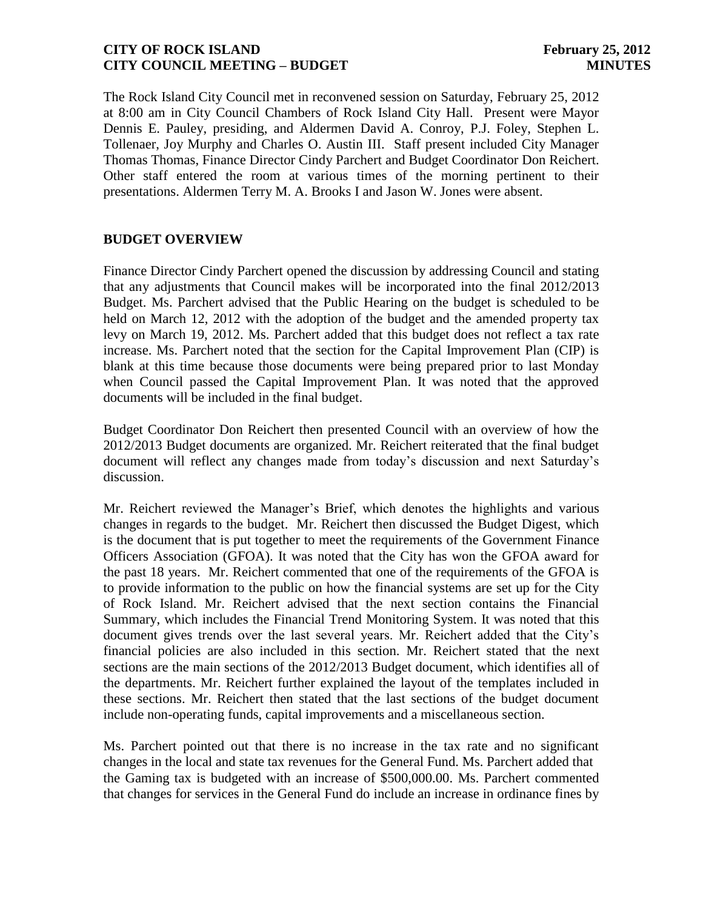The Rock Island City Council met in reconvened session on Saturday, February 25, 2012 at 8:00 am in City Council Chambers of Rock Island City Hall. Present were Mayor Dennis E. Pauley, presiding, and Aldermen David A. Conroy, P.J. Foley, Stephen L. Tollenaer, Joy Murphy and Charles O. Austin III. Staff present included City Manager Thomas Thomas, Finance Director Cindy Parchert and Budget Coordinator Don Reichert. Other staff entered the room at various times of the morning pertinent to their presentations. Aldermen Terry M. A. Brooks I and Jason W. Jones were absent.

# **BUDGET OVERVIEW**

Finance Director Cindy Parchert opened the discussion by addressing Council and stating that any adjustments that Council makes will be incorporated into the final 2012/2013 Budget. Ms. Parchert advised that the Public Hearing on the budget is scheduled to be held on March 12, 2012 with the adoption of the budget and the amended property tax levy on March 19, 2012. Ms. Parchert added that this budget does not reflect a tax rate increase. Ms. Parchert noted that the section for the Capital Improvement Plan (CIP) is blank at this time because those documents were being prepared prior to last Monday when Council passed the Capital Improvement Plan. It was noted that the approved documents will be included in the final budget.

Budget Coordinator Don Reichert then presented Council with an overview of how the 2012/2013 Budget documents are organized. Mr. Reichert reiterated that the final budget document will reflect any changes made from today's discussion and next Saturday's discussion.

Mr. Reichert reviewed the Manager's Brief, which denotes the highlights and various changes in regards to the budget. Mr. Reichert then discussed the Budget Digest, which is the document that is put together to meet the requirements of the Government Finance Officers Association (GFOA). It was noted that the City has won the GFOA award for the past 18 years. Mr. Reichert commented that one of the requirements of the GFOA is to provide information to the public on how the financial systems are set up for the City of Rock Island. Mr. Reichert advised that the next section contains the Financial Summary, which includes the Financial Trend Monitoring System. It was noted that this document gives trends over the last several years. Mr. Reichert added that the City's financial policies are also included in this section. Mr. Reichert stated that the next sections are the main sections of the 2012/2013 Budget document, which identifies all of the departments. Mr. Reichert further explained the layout of the templates included in these sections. Mr. Reichert then stated that the last sections of the budget document include non-operating funds, capital improvements and a miscellaneous section.

Ms. Parchert pointed out that there is no increase in the tax rate and no significant changes in the local and state tax revenues for the General Fund. Ms. Parchert added that the Gaming tax is budgeted with an increase of \$500,000.00. Ms. Parchert commented that changes for services in the General Fund do include an increase in ordinance fines by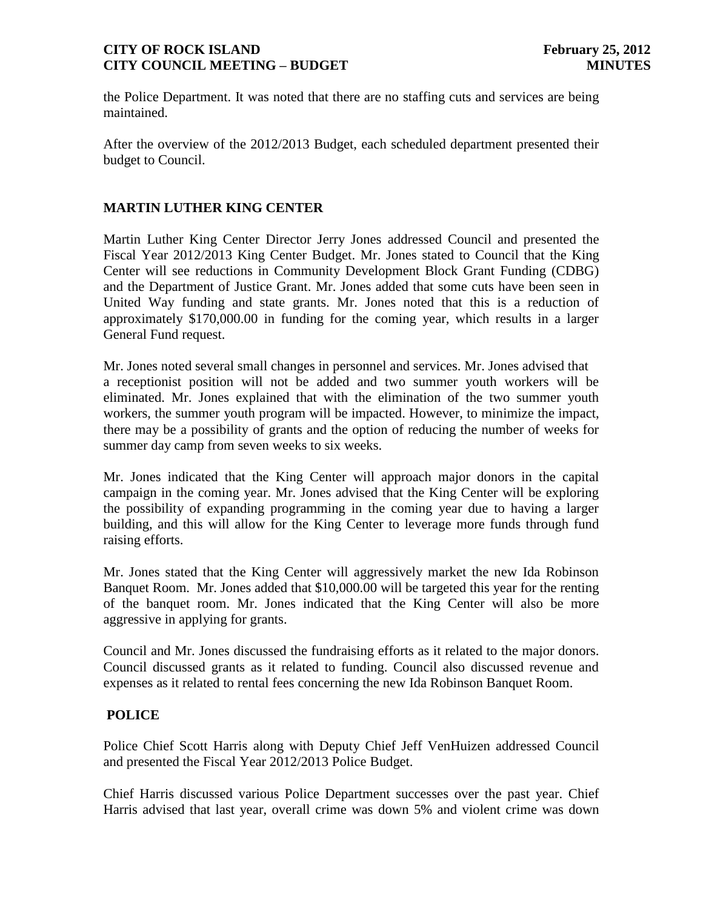the Police Department. It was noted that there are no staffing cuts and services are being maintained.

After the overview of the 2012/2013 Budget, each scheduled department presented their budget to Council.

## **MARTIN LUTHER KING CENTER**

Martin Luther King Center Director Jerry Jones addressed Council and presented the Fiscal Year 2012/2013 King Center Budget. Mr. Jones stated to Council that the King Center will see reductions in Community Development Block Grant Funding (CDBG) and the Department of Justice Grant. Mr. Jones added that some cuts have been seen in United Way funding and state grants. Mr. Jones noted that this is a reduction of approximately \$170,000.00 in funding for the coming year, which results in a larger General Fund request.

Mr. Jones noted several small changes in personnel and services. Mr. Jones advised that a receptionist position will not be added and two summer youth workers will be eliminated. Mr. Jones explained that with the elimination of the two summer youth workers, the summer youth program will be impacted. However, to minimize the impact, there may be a possibility of grants and the option of reducing the number of weeks for summer day camp from seven weeks to six weeks.

Mr. Jones indicated that the King Center will approach major donors in the capital campaign in the coming year. Mr. Jones advised that the King Center will be exploring the possibility of expanding programming in the coming year due to having a larger building, and this will allow for the King Center to leverage more funds through fund raising efforts.

Mr. Jones stated that the King Center will aggressively market the new Ida Robinson Banquet Room. Mr. Jones added that \$10,000.00 will be targeted this year for the renting of the banquet room. Mr. Jones indicated that the King Center will also be more aggressive in applying for grants.

Council and Mr. Jones discussed the fundraising efforts as it related to the major donors. Council discussed grants as it related to funding. Council also discussed revenue and expenses as it related to rental fees concerning the new Ida Robinson Banquet Room.

#### **POLICE**

Police Chief Scott Harris along with Deputy Chief Jeff VenHuizen addressed Council and presented the Fiscal Year 2012/2013 Police Budget.

Chief Harris discussed various Police Department successes over the past year. Chief Harris advised that last year, overall crime was down 5% and violent crime was down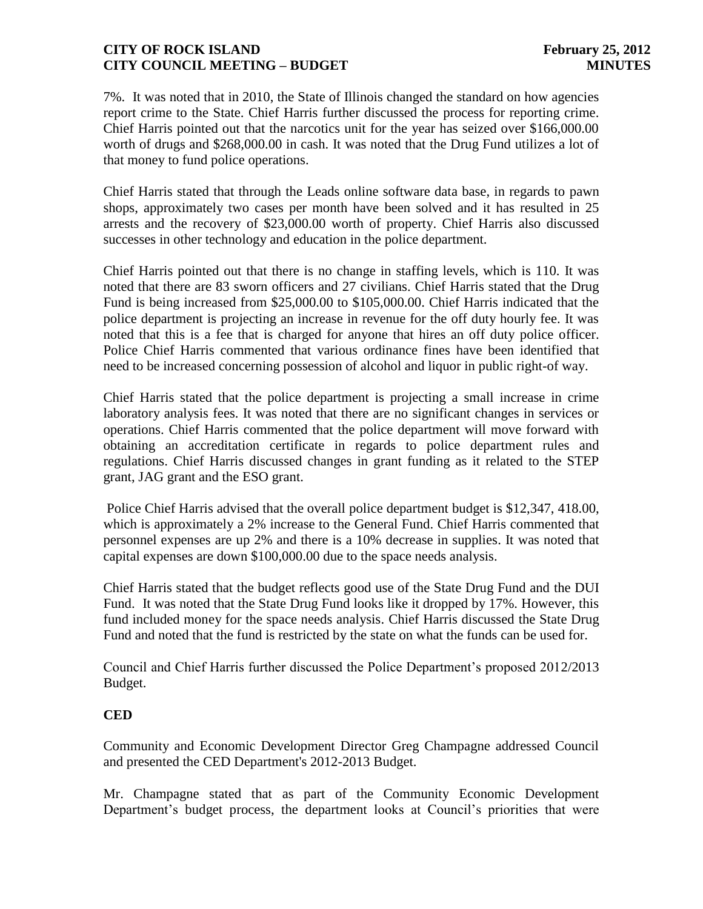7%. It was noted that in 2010, the State of Illinois changed the standard on how agencies report crime to the State. Chief Harris further discussed the process for reporting crime. Chief Harris pointed out that the narcotics unit for the year has seized over \$166,000.00 worth of drugs and \$268,000.00 in cash. It was noted that the Drug Fund utilizes a lot of that money to fund police operations.

Chief Harris stated that through the Leads online software data base, in regards to pawn shops, approximately two cases per month have been solved and it has resulted in 25 arrests and the recovery of \$23,000.00 worth of property. Chief Harris also discussed successes in other technology and education in the police department.

Chief Harris pointed out that there is no change in staffing levels, which is 110. It was noted that there are 83 sworn officers and 27 civilians. Chief Harris stated that the Drug Fund is being increased from \$25,000.00 to \$105,000.00. Chief Harris indicated that the police department is projecting an increase in revenue for the off duty hourly fee. It was noted that this is a fee that is charged for anyone that hires an off duty police officer. Police Chief Harris commented that various ordinance fines have been identified that need to be increased concerning possession of alcohol and liquor in public right-of way.

Chief Harris stated that the police department is projecting a small increase in crime laboratory analysis fees. It was noted that there are no significant changes in services or operations. Chief Harris commented that the police department will move forward with obtaining an accreditation certificate in regards to police department rules and regulations. Chief Harris discussed changes in grant funding as it related to the STEP grant, JAG grant and the ESO grant.

Police Chief Harris advised that the overall police department budget is \$12,347, 418.00, which is approximately a 2% increase to the General Fund. Chief Harris commented that personnel expenses are up 2% and there is a 10% decrease in supplies. It was noted that capital expenses are down \$100,000.00 due to the space needs analysis.

Chief Harris stated that the budget reflects good use of the State Drug Fund and the DUI Fund. It was noted that the State Drug Fund looks like it dropped by 17%. However, this fund included money for the space needs analysis. Chief Harris discussed the State Drug Fund and noted that the fund is restricted by the state on what the funds can be used for.

Council and Chief Harris further discussed the Police Department's proposed 2012/2013 Budget.

# **CED**

Community and Economic Development Director Greg Champagne addressed Council and presented the CED Department's 2012-2013 Budget.

Mr. Champagne stated that as part of the Community Economic Development Department's budget process, the department looks at Council's priorities that were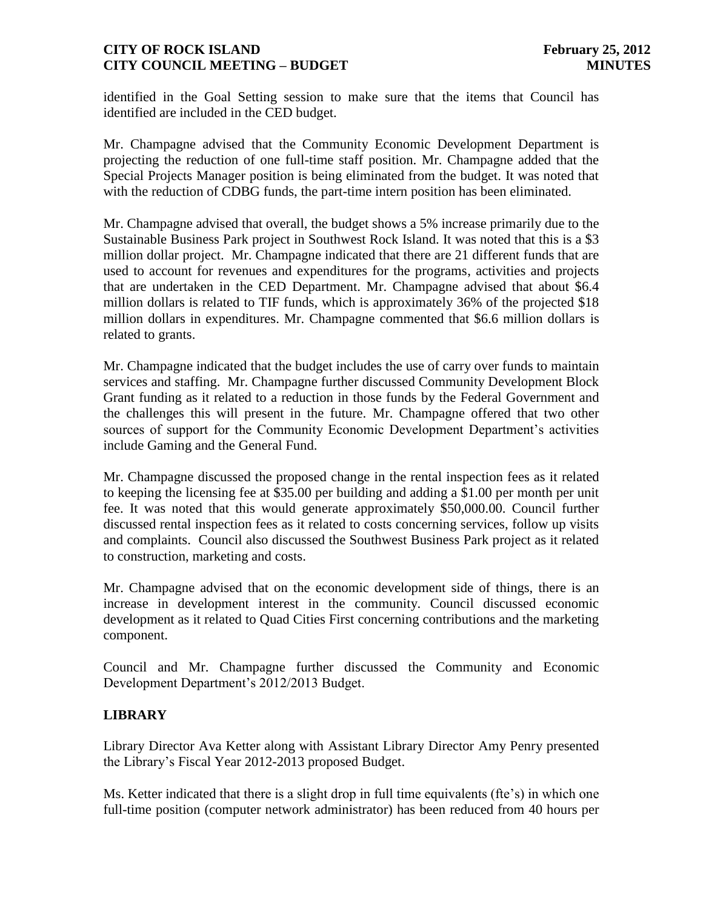identified in the Goal Setting session to make sure that the items that Council has identified are included in the CED budget.

Mr. Champagne advised that the Community Economic Development Department is projecting the reduction of one full-time staff position. Mr. Champagne added that the Special Projects Manager position is being eliminated from the budget. It was noted that with the reduction of CDBG funds, the part-time intern position has been eliminated.

Mr. Champagne advised that overall, the budget shows a 5% increase primarily due to the Sustainable Business Park project in Southwest Rock Island. It was noted that this is a \$3 million dollar project. Mr. Champagne indicated that there are 21 different funds that are used to account for revenues and expenditures for the programs, activities and projects that are undertaken in the CED Department. Mr. Champagne advised that about \$6.4 million dollars is related to TIF funds, which is approximately 36% of the projected \$18 million dollars in expenditures. Mr. Champagne commented that \$6.6 million dollars is related to grants.

Mr. Champagne indicated that the budget includes the use of carry over funds to maintain services and staffing. Mr. Champagne further discussed Community Development Block Grant funding as it related to a reduction in those funds by the Federal Government and the challenges this will present in the future. Mr. Champagne offered that two other sources of support for the Community Economic Development Department's activities include Gaming and the General Fund.

Mr. Champagne discussed the proposed change in the rental inspection fees as it related to keeping the licensing fee at \$35.00 per building and adding a \$1.00 per month per unit fee. It was noted that this would generate approximately \$50,000.00. Council further discussed rental inspection fees as it related to costs concerning services, follow up visits and complaints. Council also discussed the Southwest Business Park project as it related to construction, marketing and costs.

Mr. Champagne advised that on the economic development side of things, there is an increase in development interest in the community. Council discussed economic development as it related to Quad Cities First concerning contributions and the marketing component.

Council and Mr. Champagne further discussed the Community and Economic Development Department's 2012/2013 Budget.

# **LIBRARY**

Library Director Ava Ketter along with Assistant Library Director Amy Penry presented the Library's Fiscal Year 2012-2013 proposed Budget.

Ms. Ketter indicated that there is a slight drop in full time equivalents (fte's) in which one full-time position (computer network administrator) has been reduced from 40 hours per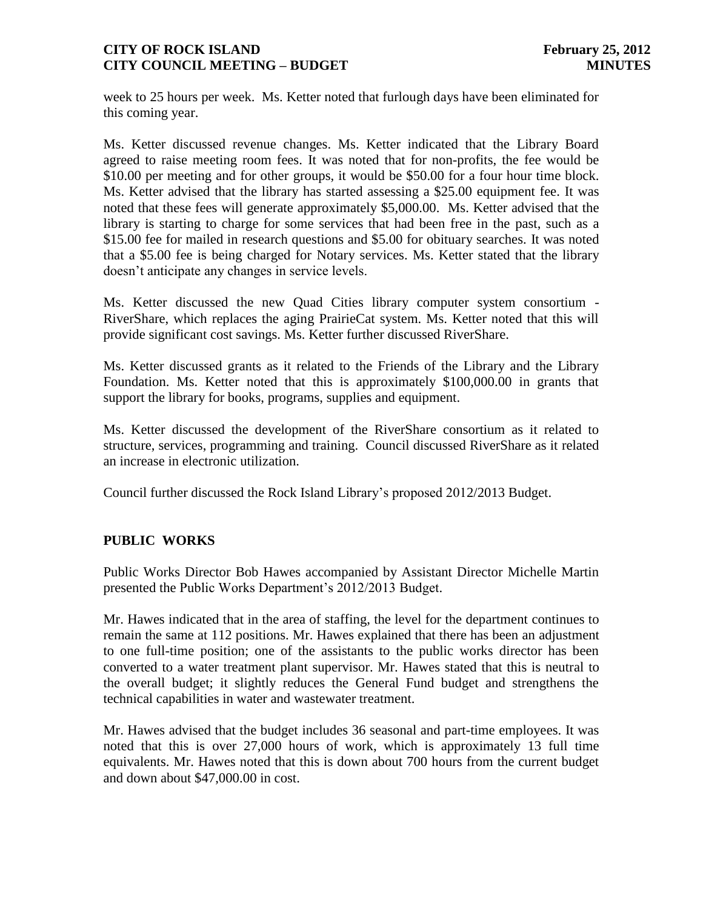week to 25 hours per week. Ms. Ketter noted that furlough days have been eliminated for this coming year.

Ms. Ketter discussed revenue changes. Ms. Ketter indicated that the Library Board agreed to raise meeting room fees. It was noted that for non-profits, the fee would be \$10.00 per meeting and for other groups, it would be \$50.00 for a four hour time block. Ms. Ketter advised that the library has started assessing a \$25.00 equipment fee. It was noted that these fees will generate approximately \$5,000.00. Ms. Ketter advised that the library is starting to charge for some services that had been free in the past, such as a \$15.00 fee for mailed in research questions and \$5.00 for obituary searches. It was noted that a \$5.00 fee is being charged for Notary services. Ms. Ketter stated that the library doesn't anticipate any changes in service levels.

Ms. Ketter discussed the new Quad Cities library computer system consortium - RiverShare, which replaces the aging PrairieCat system. Ms. Ketter noted that this will provide significant cost savings. Ms. Ketter further discussed RiverShare.

Ms. Ketter discussed grants as it related to the Friends of the Library and the Library Foundation. Ms. Ketter noted that this is approximately \$100,000.00 in grants that support the library for books, programs, supplies and equipment.

Ms. Ketter discussed the development of the RiverShare consortium as it related to structure, services, programming and training. Council discussed RiverShare as it related an increase in electronic utilization.

Council further discussed the Rock Island Library's proposed 2012/2013 Budget.

# **PUBLIC WORKS**

Public Works Director Bob Hawes accompanied by Assistant Director Michelle Martin presented the Public Works Department's 2012/2013 Budget.

Mr. Hawes indicated that in the area of staffing, the level for the department continues to remain the same at 112 positions. Mr. Hawes explained that there has been an adjustment to one full-time position; one of the assistants to the public works director has been converted to a water treatment plant supervisor. Mr. Hawes stated that this is neutral to the overall budget; it slightly reduces the General Fund budget and strengthens the technical capabilities in water and wastewater treatment.

Mr. Hawes advised that the budget includes 36 seasonal and part-time employees. It was noted that this is over 27,000 hours of work, which is approximately 13 full time equivalents. Mr. Hawes noted that this is down about 700 hours from the current budget and down about \$47,000.00 in cost.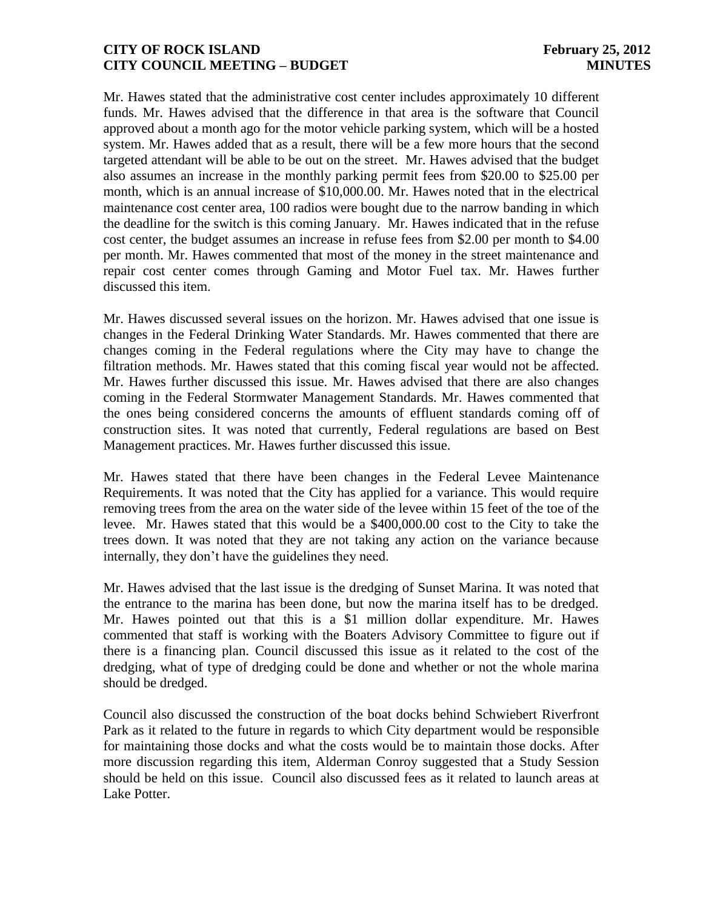Mr. Hawes stated that the administrative cost center includes approximately 10 different funds. Mr. Hawes advised that the difference in that area is the software that Council approved about a month ago for the motor vehicle parking system, which will be a hosted system. Mr. Hawes added that as a result, there will be a few more hours that the second targeted attendant will be able to be out on the street. Mr. Hawes advised that the budget also assumes an increase in the monthly parking permit fees from \$20.00 to \$25.00 per month, which is an annual increase of \$10,000.00. Mr. Hawes noted that in the electrical maintenance cost center area, 100 radios were bought due to the narrow banding in which the deadline for the switch is this coming January. Mr. Hawes indicated that in the refuse cost center, the budget assumes an increase in refuse fees from \$2.00 per month to \$4.00 per month. Mr. Hawes commented that most of the money in the street maintenance and repair cost center comes through Gaming and Motor Fuel tax. Mr. Hawes further discussed this item.

Mr. Hawes discussed several issues on the horizon. Mr. Hawes advised that one issue is changes in the Federal Drinking Water Standards. Mr. Hawes commented that there are changes coming in the Federal regulations where the City may have to change the filtration methods. Mr. Hawes stated that this coming fiscal year would not be affected. Mr. Hawes further discussed this issue. Mr. Hawes advised that there are also changes coming in the Federal Stormwater Management Standards. Mr. Hawes commented that the ones being considered concerns the amounts of effluent standards coming off of construction sites. It was noted that currently, Federal regulations are based on Best Management practices. Mr. Hawes further discussed this issue.

Mr. Hawes stated that there have been changes in the Federal Levee Maintenance Requirements. It was noted that the City has applied for a variance. This would require removing trees from the area on the water side of the levee within 15 feet of the toe of the levee. Mr. Hawes stated that this would be a \$400,000.00 cost to the City to take the trees down. It was noted that they are not taking any action on the variance because internally, they don't have the guidelines they need.

Mr. Hawes advised that the last issue is the dredging of Sunset Marina. It was noted that the entrance to the marina has been done, but now the marina itself has to be dredged. Mr. Hawes pointed out that this is a \$1 million dollar expenditure. Mr. Hawes commented that staff is working with the Boaters Advisory Committee to figure out if there is a financing plan. Council discussed this issue as it related to the cost of the dredging, what of type of dredging could be done and whether or not the whole marina should be dredged.

Council also discussed the construction of the boat docks behind Schwiebert Riverfront Park as it related to the future in regards to which City department would be responsible for maintaining those docks and what the costs would be to maintain those docks. After more discussion regarding this item, Alderman Conroy suggested that a Study Session should be held on this issue. Council also discussed fees as it related to launch areas at Lake Potter.